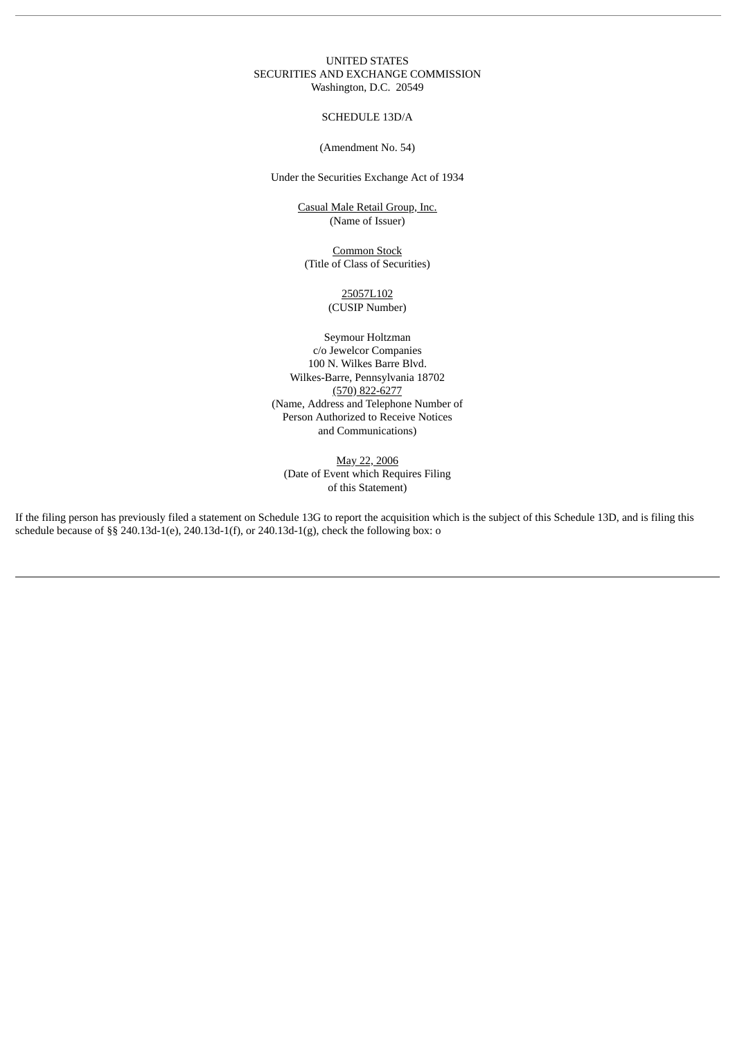### UNITED STATES SECURITIES AND EXCHANGE COMMISSION Washington, D.C. 20549

### SCHEDULE 13D/A

## (Amendment No. 54)

Under the Securities Exchange Act of 1934

Casual Male Retail Group, Inc. (Name of Issuer)

Common Stock (Title of Class of Securities)

> 25057L102 (CUSIP Number)

Seymour Holtzman c/o Jewelcor Companies 100 N. Wilkes Barre Blvd. Wilkes-Barre, Pennsylvania 18702 (570) 822-6277 (Name, Address and Telephone Number of Person Authorized to Receive Notices and Communications)

May 22, 2006 (Date of Event which Requires Filing of this Statement)

If the filing person has previously filed a statement on Schedule 13G to report the acquisition which is the subject of this Schedule 13D, and is filing this schedule because of §§ 240.13d-1(e), 240.13d-1(f), or 240.13d-1(g), check the following box: o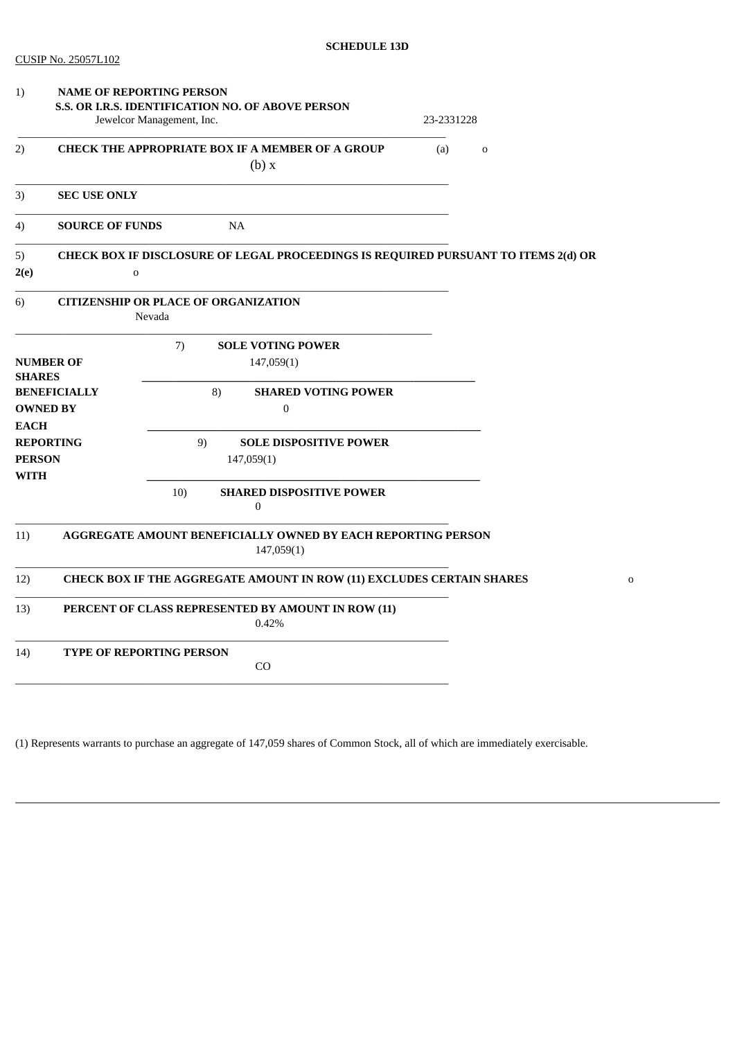| 1)                                                                     | <b>NAME OF REPORTING PERSON</b>                                                |                  |                                                                                    |             |            |             |  |
|------------------------------------------------------------------------|--------------------------------------------------------------------------------|------------------|------------------------------------------------------------------------------------|-------------|------------|-------------|--|
|                                                                        | S.S. OR I.R.S. IDENTIFICATION NO. OF ABOVE PERSON<br>Jewelcor Management, Inc. |                  |                                                                                    |             | 23-2331228 |             |  |
| <b>CHECK THE APPROPRIATE BOX IF A MEMBER OF A GROUP</b><br>2)<br>(b) x |                                                                                |                  | (a)                                                                                | $\mathbf 0$ |            |             |  |
| 3)                                                                     | <b>SEC USE ONLY</b>                                                            |                  |                                                                                    |             |            |             |  |
| 4)                                                                     | <b>SOURCE OF FUNDS</b>                                                         |                  | NA                                                                                 |             |            |             |  |
| 5)<br>2(e)                                                             | $\mathbf 0$                                                                    |                  | CHECK BOX IF DISCLOSURE OF LEGAL PROCEEDINGS IS REQUIRED PURSUANT TO ITEMS 2(d) OR |             |            |             |  |
| 6)                                                                     | <b>CITIZENSHIP OR PLACE OF ORGANIZATION</b>                                    | Nevada           |                                                                                    |             |            |             |  |
| <b>SHARES</b>                                                          | <b>NUMBER OF</b><br><b>BENEFICIALLY</b>                                        | 7)<br>8)         | <b>SOLE VOTING POWER</b><br>147,059(1)<br><b>SHARED VOTING POWER</b>               |             |            |             |  |
| <b>EACH</b>                                                            | <b>OWNED BY</b>                                                                | $\boldsymbol{0}$ |                                                                                    |             |            |             |  |
| <b>REPORTING</b><br><b>PERSON</b><br><b>WITH</b>                       |                                                                                | 9)               | <b>SOLE DISPOSITIVE POWER</b><br>147,059(1)                                        |             |            |             |  |
|                                                                        |                                                                                | 10)              | <b>SHARED DISPOSITIVE POWER</b><br>$\boldsymbol{0}$                                |             |            |             |  |
| 11)                                                                    |                                                                                |                  | AGGREGATE AMOUNT BENEFICIALLY OWNED BY EACH REPORTING PERSON<br>147,059(1)         |             |            |             |  |
| 12)                                                                    |                                                                                |                  | CHECK BOX IF THE AGGREGATE AMOUNT IN ROW (11) EXCLUDES CERTAIN SHARES              |             |            | $\mathbf 0$ |  |
| 13)                                                                    | PERCENT OF CLASS REPRESENTED BY AMOUNT IN ROW (11)<br>0.42%                    |                  |                                                                                    |             |            |             |  |
| 14)                                                                    | <b>TYPE OF REPORTING PERSON</b>                                                |                  | CO                                                                                 |             |            |             |  |
|                                                                        |                                                                                |                  |                                                                                    |             |            |             |  |

(1) Represents warrants to purchase an aggregate of 147,059 shares of Common Stock, all of which are immediately exercisable.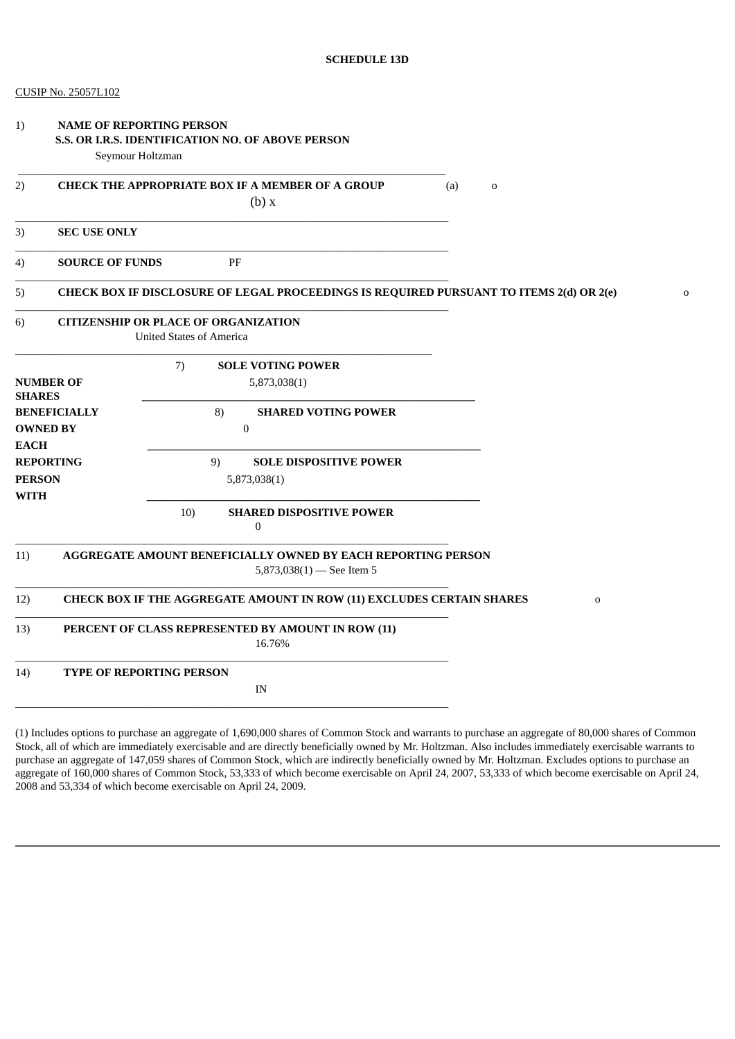|  | CUSIP No. 25057L102 |
|--|---------------------|
|--|---------------------|

| 1)                                                                     | <b>NAME OF REPORTING PERSON</b><br>Seymour Holtzman | S.S. OR I.R.S. IDENTIFICATION NO. OF ABOVE PERSON                                         |   |
|------------------------------------------------------------------------|-----------------------------------------------------|-------------------------------------------------------------------------------------------|---|
| <b>CHECK THE APPROPRIATE BOX IF A MEMBER OF A GROUP</b><br>2)<br>(b) x |                                                     | (a)<br>$\mathbf 0$                                                                        |   |
| 3)                                                                     | <b>SEC USE ONLY</b>                                 |                                                                                           |   |
| 4)                                                                     | <b>SOURCE OF FUNDS</b>                              | PF                                                                                        |   |
| 5)                                                                     |                                                     | CHECK BOX IF DISCLOSURE OF LEGAL PROCEEDINGS IS REQUIRED PURSUANT TO ITEMS 2(d) OR 2(e)   | 0 |
| 6)                                                                     |                                                     | <b>CITIZENSHIP OR PLACE OF ORGANIZATION</b><br><b>United States of America</b>            |   |
| <b>SHARES</b>                                                          | <b>NUMBER OF</b>                                    | 7)<br><b>SOLE VOTING POWER</b><br>5,873,038(1)                                            |   |
| <b>EACH</b>                                                            | <b>BENEFICIALLY</b><br><b>OWNED BY</b>              | 8)<br><b>SHARED VOTING POWER</b><br>$\boldsymbol{0}$                                      |   |
| <b>PERSON</b><br><b>WITH</b>                                           | <b>REPORTING</b>                                    | 9)<br><b>SOLE DISPOSITIVE POWER</b><br>5,873,038(1)                                       |   |
|                                                                        |                                                     | 10)<br><b>SHARED DISPOSITIVE POWER</b><br>0                                               |   |
| 11)                                                                    |                                                     | AGGREGATE AMOUNT BENEFICIALLY OWNED BY EACH REPORTING PERSON<br>5,873,038(1) - See Item 5 |   |
| 12)                                                                    |                                                     | CHECK BOX IF THE AGGREGATE AMOUNT IN ROW (11) EXCLUDES CERTAIN SHARES<br>$\mathbf 0$      |   |
| 13)                                                                    |                                                     | PERCENT OF CLASS REPRESENTED BY AMOUNT IN ROW (11)<br>16.76%                              |   |
| 14)                                                                    |                                                     | <b>TYPE OF REPORTING PERSON</b><br>IN                                                     |   |
|                                                                        |                                                     |                                                                                           |   |

(1) Includes options to purchase an aggregate of 1,690,000 shares of Common Stock and warrants to purchase an aggregate of 80,000 shares of Common Stock, all of which are immediately exercisable and are directly beneficially owned by Mr. Holtzman. Also includes immediately exercisable warrants to purchase an aggregate of 147,059 shares of Common Stock, which are indirectly beneficially owned by Mr. Holtzman. Excludes options to purchase an aggregate of 160,000 shares of Common Stock, 53,333 of which become exercisable on April 24, 2007, 53,333 of which become exercisable on April 24, 2008 and 53,334 of which become exercisable on April 24, 2009.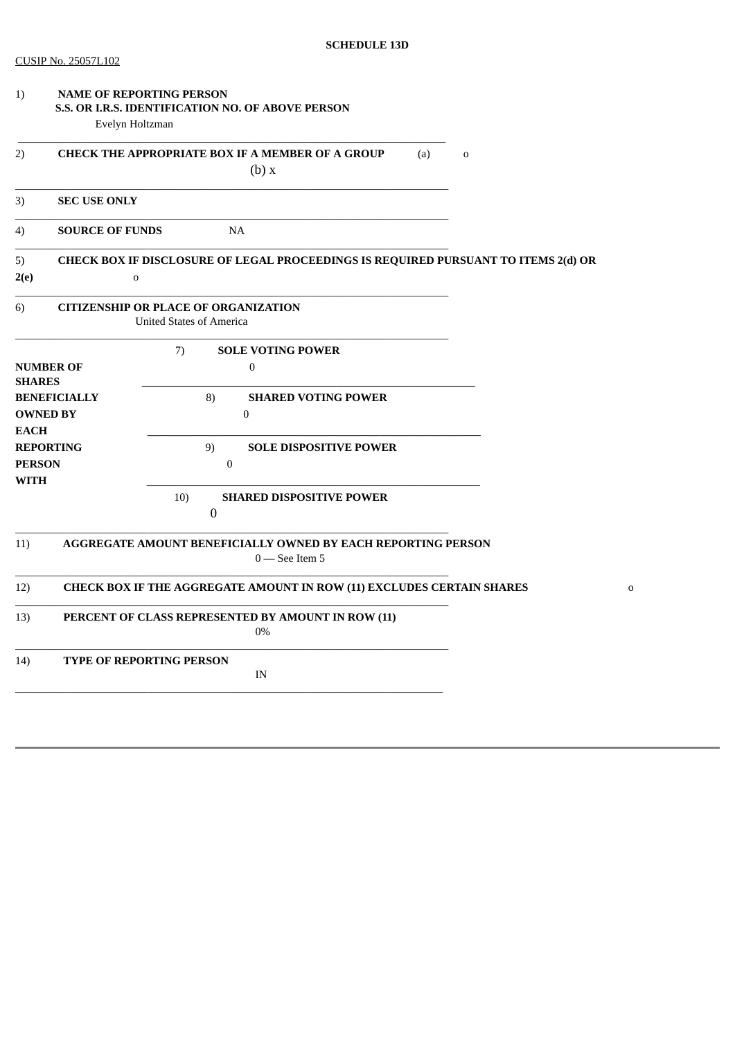|                                                             | (a)<br>$\mathbf 0$<br>(b) x                                                                                                                    |                                                                                                                                                                                                                                                                                                                                                                                                                                                                                                                                                 |  |
|-------------------------------------------------------------|------------------------------------------------------------------------------------------------------------------------------------------------|-------------------------------------------------------------------------------------------------------------------------------------------------------------------------------------------------------------------------------------------------------------------------------------------------------------------------------------------------------------------------------------------------------------------------------------------------------------------------------------------------------------------------------------------------|--|
| <b>SEC USE ONLY</b>                                         |                                                                                                                                                |                                                                                                                                                                                                                                                                                                                                                                                                                                                                                                                                                 |  |
|                                                             | <b>NA</b>                                                                                                                                      |                                                                                                                                                                                                                                                                                                                                                                                                                                                                                                                                                 |  |
| $\mathbf 0$                                                 |                                                                                                                                                |                                                                                                                                                                                                                                                                                                                                                                                                                                                                                                                                                 |  |
|                                                             |                                                                                                                                                |                                                                                                                                                                                                                                                                                                                                                                                                                                                                                                                                                 |  |
|                                                             | 7)<br><b>SOLE VOTING POWER</b><br>$\mathbf{0}$                                                                                                 |                                                                                                                                                                                                                                                                                                                                                                                                                                                                                                                                                 |  |
|                                                             | 8)<br><b>SHARED VOTING POWER</b><br>$\bf{0}$                                                                                                   |                                                                                                                                                                                                                                                                                                                                                                                                                                                                                                                                                 |  |
|                                                             | 9)<br><b>SOLE DISPOSITIVE POWER</b><br>$\boldsymbol{0}$                                                                                        |                                                                                                                                                                                                                                                                                                                                                                                                                                                                                                                                                 |  |
|                                                             | 10)<br><b>SHARED DISPOSITIVE POWER</b><br>$\boldsymbol{0}$                                                                                     |                                                                                                                                                                                                                                                                                                                                                                                                                                                                                                                                                 |  |
|                                                             | $0$ – See Item 5                                                                                                                               |                                                                                                                                                                                                                                                                                                                                                                                                                                                                                                                                                 |  |
|                                                             |                                                                                                                                                | $\mathbf 0$                                                                                                                                                                                                                                                                                                                                                                                                                                                                                                                                     |  |
| PERCENT OF CLASS REPRESENTED BY AMOUNT IN ROW (11)<br>$0\%$ |                                                                                                                                                |                                                                                                                                                                                                                                                                                                                                                                                                                                                                                                                                                 |  |
|                                                             |                                                                                                                                                |                                                                                                                                                                                                                                                                                                                                                                                                                                                                                                                                                 |  |
|                                                             | <b>NUMBER OF</b><br><b>SHARES</b><br><b>BENEFICIALLY</b><br><b>OWNED BY</b><br><b>EACH</b><br><b>REPORTING</b><br><b>PERSON</b><br><b>WITH</b> | <b>NAME OF REPORTING PERSON</b><br>S.S. OR I.R.S. IDENTIFICATION NO. OF ABOVE PERSON<br>Evelyn Holtzman<br><b>CHECK THE APPROPRIATE BOX IF A MEMBER OF A GROUP</b><br><b>SOURCE OF FUNDS</b><br>CHECK BOX IF DISCLOSURE OF LEGAL PROCEEDINGS IS REQUIRED PURSUANT TO ITEMS 2(d) OR<br><b>CITIZENSHIP OR PLACE OF ORGANIZATION</b><br><b>United States of America</b><br>AGGREGATE AMOUNT BENEFICIALLY OWNED BY EACH REPORTING PERSON<br>CHECK BOX IF THE AGGREGATE AMOUNT IN ROW (11) EXCLUDES CERTAIN SHARES<br>TYPE OF REPORTING PERSON<br>IN |  |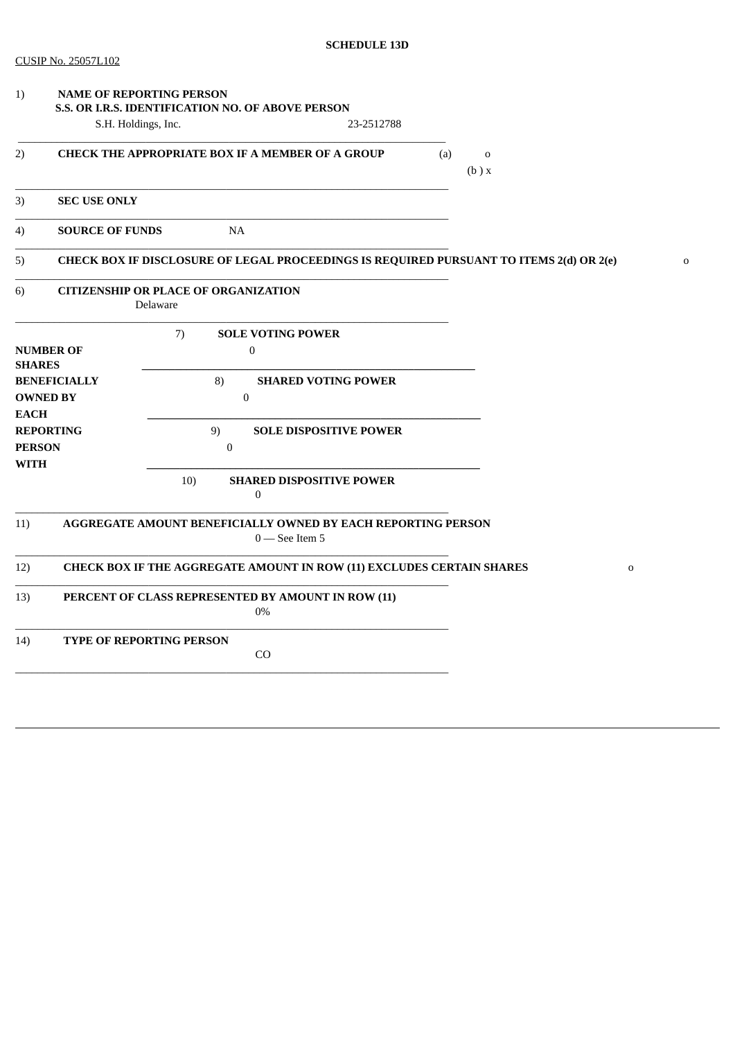| 1)                                                    |                        | <b>NAME OF REPORTING PERSON</b><br>S.S. OR I.R.S. IDENTIFICATION NO. OF ABOVE PERSON    |             |
|-------------------------------------------------------|------------------------|-----------------------------------------------------------------------------------------|-------------|
|                                                       | S.H. Holdings, Inc.    | 23-2512788                                                                              |             |
| 2)                                                    |                        | <b>CHECK THE APPROPRIATE BOX IF A MEMBER OF A GROUP</b><br>(a)<br>$\mathbf 0$<br>(b) x  |             |
| 3)                                                    | <b>SEC USE ONLY</b>    |                                                                                         |             |
| 4)                                                    | <b>SOURCE OF FUNDS</b> | <b>NA</b>                                                                               |             |
| 5)                                                    |                        | CHECK BOX IF DISCLOSURE OF LEGAL PROCEEDINGS IS REQUIRED PURSUANT TO ITEMS 2(d) OR 2(e) | $\mathbf 0$ |
| 6)                                                    |                        | <b>CITIZENSHIP OR PLACE OF ORGANIZATION</b><br>Delaware                                 |             |
| <b>SHARES</b>                                         | <b>NUMBER OF</b>       | 7)<br><b>SOLE VOTING POWER</b><br>$\boldsymbol{0}$                                      |             |
| <b>BENEFICIALLY</b><br><b>OWNED BY</b><br><b>EACH</b> |                        | <b>SHARED VOTING POWER</b><br>8)<br>$\boldsymbol{0}$                                    |             |
| <b>PERSON</b><br><b>WITH</b>                          | <b>REPORTING</b>       | 9)<br><b>SOLE DISPOSITIVE POWER</b><br>$\mathbf{0}$                                     |             |
|                                                       |                        | 10)<br><b>SHARED DISPOSITIVE POWER</b><br>$\boldsymbol{0}$                              |             |
| 11)                                                   |                        | AGGREGATE AMOUNT BENEFICIALLY OWNED BY EACH REPORTING PERSON<br>$0$ – See Item 5        |             |
| 12)                                                   |                        | CHECK BOX IF THE AGGREGATE AMOUNT IN ROW (11) EXCLUDES CERTAIN SHARES<br>$\mathbf 0$    |             |
| 13)                                                   |                        | PERCENT OF CLASS REPRESENTED BY AMOUNT IN ROW (11)<br>0%                                |             |
| 14)                                                   |                        | <b>TYPE OF REPORTING PERSON</b><br>CO                                                   |             |
|                                                       |                        |                                                                                         |             |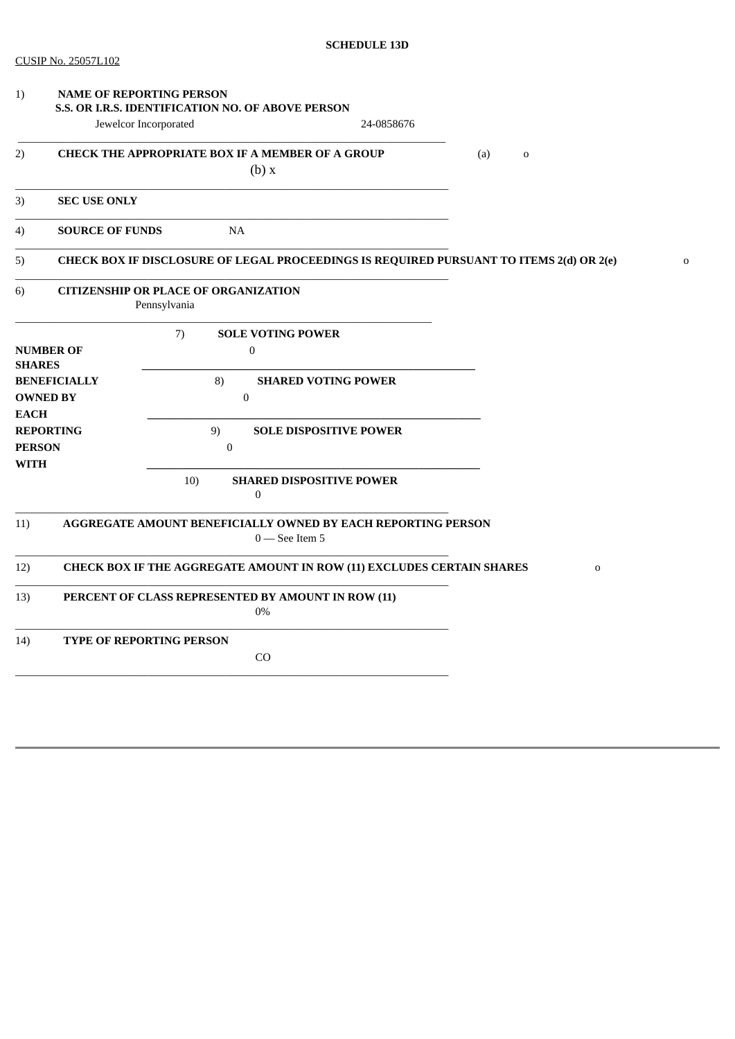| 1)                                           |                     | <b>NAME OF REPORTING PERSON</b><br>S.S. OR I.R.S. IDENTIFICATION NO. OF ABOVE PERSON    |             |
|----------------------------------------------|---------------------|-----------------------------------------------------------------------------------------|-------------|
|                                              |                     | Jewelcor Incorporated<br>24-0858676                                                     |             |
| 2)                                           |                     | <b>CHECK THE APPROPRIATE BOX IF A MEMBER OF A GROUP</b><br>(a)<br>$\mathbf 0$<br>(b) x  |             |
| 3)                                           | <b>SEC USE ONLY</b> |                                                                                         |             |
| <b>SOURCE OF FUNDS</b><br>4)                 |                     | <b>NA</b>                                                                               |             |
| 5)                                           |                     | CHECK BOX IF DISCLOSURE OF LEGAL PROCEEDINGS IS REQUIRED PURSUANT TO ITEMS 2(d) OR 2(e) | $\mathbf 0$ |
| 6)                                           |                     | <b>CITIZENSHIP OR PLACE OF ORGANIZATION</b><br>Pennsylvania                             |             |
|                                              |                     | 7)<br><b>SOLE VOTING POWER</b>                                                          |             |
| <b>SHARES</b>                                | <b>NUMBER OF</b>    | $\boldsymbol{0}$                                                                        |             |
|                                              | <b>BENEFICIALLY</b> | 8)<br><b>SHARED VOTING POWER</b>                                                        |             |
|                                              | <b>OWNED BY</b>     | $\boldsymbol{0}$                                                                        |             |
| <b>EACH</b>                                  | <b>REPORTING</b>    | 9)<br><b>SOLE DISPOSITIVE POWER</b>                                                     |             |
| <b>PERSON</b>                                |                     | $\mathbf{0}$                                                                            |             |
| <b>WITH</b>                                  |                     |                                                                                         |             |
|                                              |                     | 10)<br><b>SHARED DISPOSITIVE POWER</b><br>0                                             |             |
| 11)                                          |                     | AGGREGATE AMOUNT BENEFICIALLY OWNED BY EACH REPORTING PERSON<br>$0$ – See Item 5        |             |
| 12)                                          |                     | CHECK BOX IF THE AGGREGATE AMOUNT IN ROW (11) EXCLUDES CERTAIN SHARES<br>$\mathbf 0$    |             |
| 13)                                          |                     | PERCENT OF CLASS REPRESENTED BY AMOUNT IN ROW (11)<br>$0\%$                             |             |
| 14)<br><b>TYPE OF REPORTING PERSON</b><br>CO |                     |                                                                                         |             |
|                                              |                     |                                                                                         |             |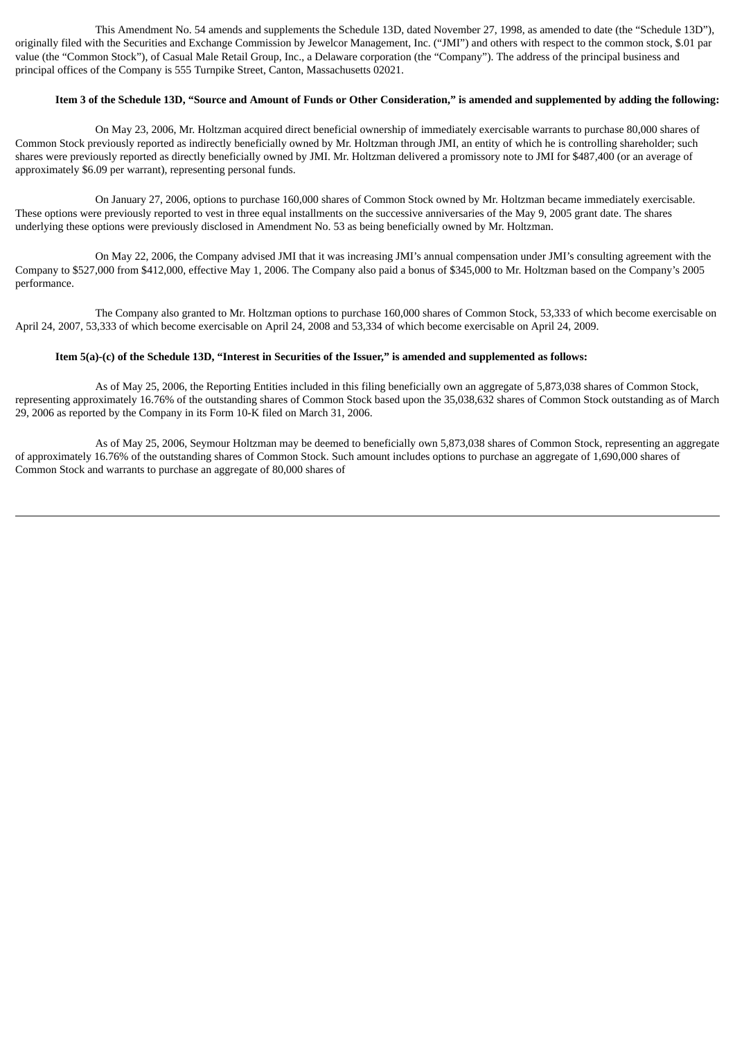This Amendment No. 54 amends and supplements the Schedule 13D, dated November 27, 1998, as amended to date (the "Schedule 13D"), originally filed with the Securities and Exchange Commission by Jewelcor Management, Inc. ("JMI") and others with respect to the common stock, \$.01 par value (the "Common Stock"), of Casual Male Retail Group, Inc., a Delaware corporation (the "Company"). The address of the principal business and principal offices of the Company is 555 Turnpike Street, Canton, Massachusetts 02021.

### Item 3 of the Schedule 13D, "Source and Amount of Funds or Other Consideration," is amended and supplemented by adding the following:

On May 23, 2006, Mr. Holtzman acquired direct beneficial ownership of immediately exercisable warrants to purchase 80,000 shares of Common Stock previously reported as indirectly beneficially owned by Mr. Holtzman through JMI, an entity of which he is controlling shareholder; such shares were previously reported as directly beneficially owned by JMI. Mr. Holtzman delivered a promissory note to JMI for \$487,400 (or an average of approximately \$6.09 per warrant), representing personal funds.

On January 27, 2006, options to purchase 160,000 shares of Common Stock owned by Mr. Holtzman became immediately exercisable. These options were previously reported to vest in three equal installments on the successive anniversaries of the May 9, 2005 grant date. The shares underlying these options were previously disclosed in Amendment No. 53 as being beneficially owned by Mr. Holtzman.

On May 22, 2006, the Company advised JMI that it was increasing JMI's annual compensation under JMI's consulting agreement with the Company to \$527,000 from \$412,000, effective May 1, 2006. The Company also paid a bonus of \$345,000 to Mr. Holtzman based on the Company's 2005 performance.

The Company also granted to Mr. Holtzman options to purchase 160,000 shares of Common Stock, 53,333 of which become exercisable on April 24, 2007, 53,333 of which become exercisable on April 24, 2008 and 53,334 of which become exercisable on April 24, 2009.

#### Item 5(a)-(c) of the Schedule 13D, "Interest in Securities of the Issuer," is amended and supplemented as follows:

As of May 25, 2006, the Reporting Entities included in this filing beneficially own an aggregate of 5,873,038 shares of Common Stock, representing approximately 16.76% of the outstanding shares of Common Stock based upon the 35,038,632 shares of Common Stock outstanding as of March 29, 2006 as reported by the Company in its Form 10-K filed on March 31, 2006.

As of May 25, 2006, Seymour Holtzman may be deemed to beneficially own 5,873,038 shares of Common Stock, representing an aggregate of approximately 16.76% of the outstanding shares of Common Stock. Such amount includes options to purchase an aggregate of 1,690,000 shares of Common Stock and warrants to purchase an aggregate of 80,000 shares of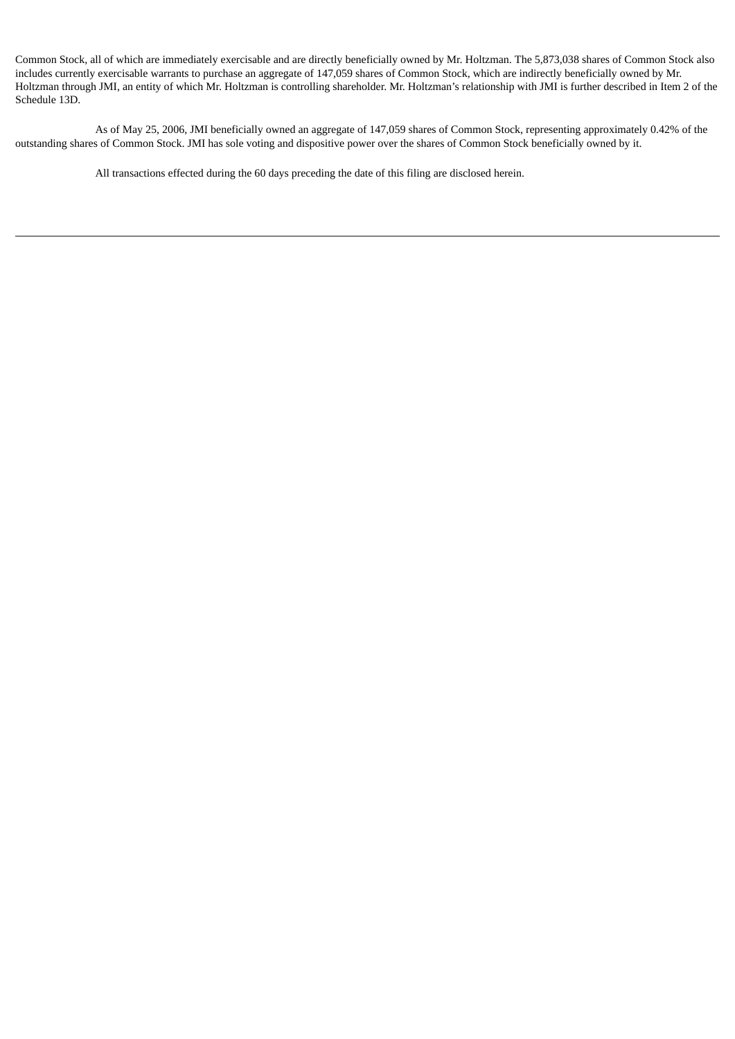Common Stock, all of which are immediately exercisable and are directly beneficially owned by Mr. Holtzman. The 5,873,038 shares of Common Stock also includes currently exercisable warrants to purchase an aggregate of 147,059 shares of Common Stock, which are indirectly beneficially owned by Mr. Holtzman through JMI, an entity of which Mr. Holtzman is controlling shareholder. Mr. Holtzman's relationship with JMI is further described in Item 2 of the Schedule 13D.

As of May 25, 2006, JMI beneficially owned an aggregate of 147,059 shares of Common Stock, representing approximately 0.42% of the outstanding shares of Common Stock. JMI has sole voting and dispositive power over the shares of Common Stock beneficially owned by it.

All transactions effected during the 60 days preceding the date of this filing are disclosed herein.